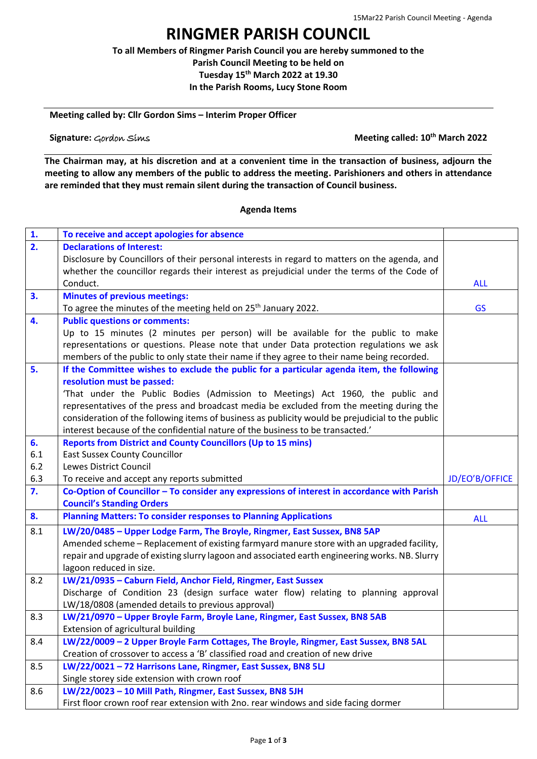## **RINGMER PARISH COUNCIL**

**To all Members of Ringmer Parish Council you are hereby summoned to the Parish Council Meeting to be held on Tuesday 15th March 2022 at 19.30 In the Parish Rooms, Lucy Stone Room**

**Meeting called by: Cllr Gordon Sims – Interim Proper Officer**

**Signature:** Gordon Sims **Meeting called: 10th March 2022**

**The Chairman may, at his discretion and at a convenient time in the transaction of business, adjourn the meeting to allow any members of the public to address the meeting. Parishioners and others in attendance are reminded that they must remain silent during the transaction of Council business.**

## **Agenda Items**

| 1.               | To receive and accept apologies for absence                                                      |                |
|------------------|--------------------------------------------------------------------------------------------------|----------------|
| $\overline{2}$ . | <b>Declarations of Interest:</b>                                                                 |                |
|                  | Disclosure by Councillors of their personal interests in regard to matters on the agenda, and    |                |
|                  | whether the councillor regards their interest as prejudicial under the terms of the Code of      |                |
|                  | Conduct.                                                                                         | <b>ALL</b>     |
| 3.               | <b>Minutes of previous meetings:</b>                                                             |                |
|                  | To agree the minutes of the meeting held on 25 <sup>th</sup> January 2022.                       | <b>GS</b>      |
| 4.               | <b>Public questions or comments:</b>                                                             |                |
|                  | Up to 15 minutes (2 minutes per person) will be available for the public to make                 |                |
|                  | representations or questions. Please note that under Data protection regulations we ask          |                |
|                  | members of the public to only state their name if they agree to their name being recorded.       |                |
| 5.               | If the Committee wishes to exclude the public for a particular agenda item, the following        |                |
|                  | resolution must be passed:                                                                       |                |
|                  | 'That under the Public Bodies (Admission to Meetings) Act 1960, the public and                   |                |
|                  | representatives of the press and broadcast media be excluded from the meeting during the         |                |
|                  | consideration of the following items of business as publicity would be prejudicial to the public |                |
|                  | interest because of the confidential nature of the business to be transacted.'                   |                |
| 6.               | <b>Reports from District and County Councillors (Up to 15 mins)</b>                              |                |
| 6.1              | <b>East Sussex County Councillor</b>                                                             |                |
|                  |                                                                                                  |                |
| 6.2              | Lewes District Council                                                                           |                |
| 6.3              | To receive and accept any reports submitted                                                      | JD/EO'B/OFFICE |
| 7.               | Co-Option of Councillor - To consider any expressions of interest in accordance with Parish      |                |
|                  | <b>Council's Standing Orders</b>                                                                 |                |
| 8.               | <b>Planning Matters: To consider responses to Planning Applications</b>                          | <b>ALL</b>     |
| 8.1              | LW/20/0485 - Upper Lodge Farm, The Broyle, Ringmer, East Sussex, BN8 5AP                         |                |
|                  | Amended scheme - Replacement of existing farmyard manure store with an upgraded facility,        |                |
|                  | repair and upgrade of existing slurry lagoon and associated earth engineering works. NB. Slurry  |                |
|                  | lagoon reduced in size.                                                                          |                |
| 8.2              | LW/21/0935 - Caburn Field, Anchor Field, Ringmer, East Sussex                                    |                |
|                  | Discharge of Condition 23 (design surface water flow) relating to planning approval              |                |
|                  | LW/18/0808 (amended details to previous approval)                                                |                |
| 8.3              | LW/21/0970 - Upper Broyle Farm, Broyle Lane, Ringmer, East Sussex, BN8 5AB                       |                |
|                  | Extension of agricultural building                                                               |                |
| 8.4              | LW/22/0009 - 2 Upper Broyle Farm Cottages, The Broyle, Ringmer, East Sussex, BN8 5AL             |                |
|                  | Creation of crossover to access a 'B' classified road and creation of new drive                  |                |
| 8.5              | LW/22/0021 - 72 Harrisons Lane, Ringmer, East Sussex, BN8 5LJ                                    |                |
|                  | Single storey side extension with crown roof                                                     |                |
| 8.6              | LW/22/0023 - 10 Mill Path, Ringmer, East Sussex, BN8 5JH                                         |                |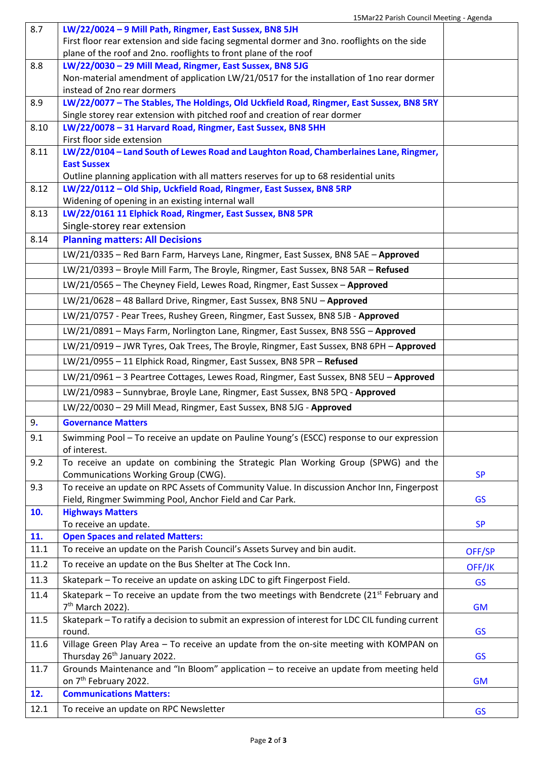$\overline{\phantom{0}}$ 

| 8.7  | LW/22/0024 - 9 Mill Path, Ringmer, East Sussex, BN8 5JH                                          |           |
|------|--------------------------------------------------------------------------------------------------|-----------|
|      | First floor rear extension and side facing segmental dormer and 3no. rooflights on the side      |           |
|      | plane of the roof and 2no. rooflights to front plane of the roof                                 |           |
| 8.8  | LW/22/0030 - 29 Mill Mead, Ringmer, East Sussex, BN8 5JG                                         |           |
|      | Non-material amendment of application LW/21/0517 for the installation of 1no rear dormer         |           |
|      | instead of 2no rear dormers                                                                      |           |
| 8.9  | LW/22/0077 - The Stables, The Holdings, Old Uckfield Road, Ringmer, East Sussex, BN8 5RY         |           |
|      | Single storey rear extension with pitched roof and creation of rear dormer                       |           |
| 8.10 | LW/22/0078 - 31 Harvard Road, Ringmer, East Sussex, BN8 5HH                                      |           |
|      | First floor side extension                                                                       |           |
| 8.11 | LW/22/0104 - Land South of Lewes Road and Laughton Road, Chamberlaines Lane, Ringmer,            |           |
|      | <b>East Sussex</b>                                                                               |           |
|      | Outline planning application with all matters reserves for up to 68 residential units            |           |
| 8.12 | LW/22/0112 - Old Ship, Uckfield Road, Ringmer, East Sussex, BN8 5RP                              |           |
|      | Widening of opening in an existing internal wall                                                 |           |
| 8.13 | LW/22/0161 11 Elphick Road, Ringmer, East Sussex, BN8 5PR                                        |           |
|      |                                                                                                  |           |
|      | Single-storey rear extension                                                                     |           |
| 8.14 | <b>Planning matters: All Decisions</b>                                                           |           |
|      | LW/21/0335 - Red Barn Farm, Harveys Lane, Ringmer, East Sussex, BN8 5AE - Approved               |           |
|      | LW/21/0393 - Broyle Mill Farm, The Broyle, Ringmer, East Sussex, BN8 5AR - Refused               |           |
|      | LW/21/0565 - The Cheyney Field, Lewes Road, Ringmer, East Sussex - Approved                      |           |
|      |                                                                                                  |           |
|      | LW/21/0628 - 48 Ballard Drive, Ringmer, East Sussex, BN8 5NU - Approved                          |           |
|      | LW/21/0757 - Pear Trees, Rushey Green, Ringmer, East Sussex, BN8 5JB - Approved                  |           |
|      | LW/21/0891 - Mays Farm, Norlington Lane, Ringmer, East Sussex, BN8 5SG - Approved                |           |
|      | LW/21/0919 - JWR Tyres, Oak Trees, The Broyle, Ringmer, East Sussex, BN8 6PH - Approved          |           |
|      | LW/21/0955 - 11 Elphick Road, Ringmer, East Sussex, BN8 5PR - Refused                            |           |
|      |                                                                                                  |           |
|      | LW/21/0961 - 3 Peartree Cottages, Lewes Road, Ringmer, East Sussex, BN8 5EU - Approved           |           |
|      | LW/21/0983 - Sunnybrae, Broyle Lane, Ringmer, East Sussex, BN8 5PQ - Approved                    |           |
|      | LW/22/0030 - 29 Mill Mead, Ringmer, East Sussex, BN8 5JG - Approved                              |           |
| 9.   | <b>Governance Matters</b>                                                                        |           |
| 9.1  | Swimming Pool - To receive an update on Pauline Young's (ESCC) response to our expression        |           |
|      | of interest.                                                                                     |           |
| 9.2  | To receive an update on combining the Strategic Plan Working Group (SPWG) and the                |           |
|      | Communications Working Group (CWG).                                                              | <b>SP</b> |
| 9.3  | To receive an update on RPC Assets of Community Value. In discussion Anchor Inn, Fingerpost      |           |
|      | Field, Ringmer Swimming Pool, Anchor Field and Car Park.                                         | <b>GS</b> |
| 10.  | <b>Highways Matters</b>                                                                          |           |
|      | To receive an update.                                                                            | <b>SP</b> |
| 11.  | <b>Open Spaces and related Matters:</b>                                                          |           |
| 11.1 | To receive an update on the Parish Council's Assets Survey and bin audit.                        | OFF/SP    |
| 11.2 | To receive an update on the Bus Shelter at The Cock Inn.                                         | OFF/JK    |
| 11.3 | Skatepark - To receive an update on asking LDC to gift Fingerpost Field.                         | <b>GS</b> |
| 11.4 | Skatepark – To receive an update from the two meetings with Bendcrete ( $21st$ February and      |           |
|      | 7 <sup>th</sup> March 2022).                                                                     | <b>GM</b> |
| 11.5 | Skatepark - To ratify a decision to submit an expression of interest for LDC CIL funding current |           |
|      | round.                                                                                           | <b>GS</b> |
| 11.6 | Village Green Play Area - To receive an update from the on-site meeting with KOMPAN on           |           |
|      | Thursday 26 <sup>th</sup> January 2022.                                                          | <b>GS</b> |
| 11.7 | Grounds Maintenance and "In Bloom" application - to receive an update from meeting held          |           |
|      | on 7 <sup>th</sup> February 2022.                                                                | <b>GM</b> |
| 12.  | <b>Communications Matters:</b>                                                                   |           |
|      |                                                                                                  |           |
| 12.1 | To receive an update on RPC Newsletter                                                           | <b>GS</b> |